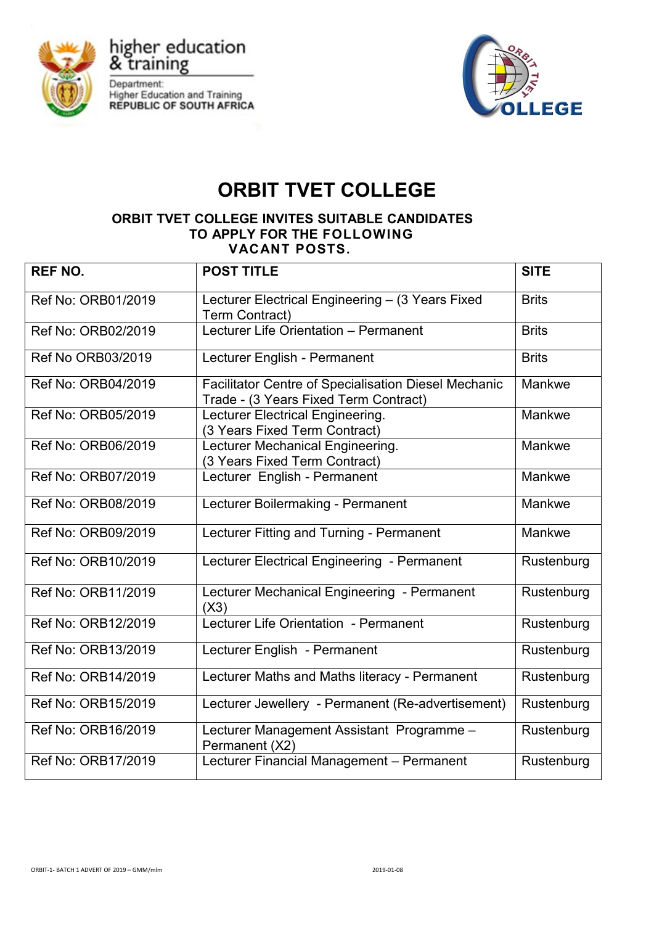

higher education<br>& training Department: **Higher Education and Training REPUBLIC OF SOUTH AFRICA** 



## **ORBIT TVET COLLEGE**

## **ORBIT TVET COLLEGE INVITES SUITABLE CANDIDATES TO APPLY FOR THE FOLLOWING VACANT POSTS.**

| <b>REF NO.</b>     | <b>POST TITLE</b>                                                                             | <b>SITE</b>  |
|--------------------|-----------------------------------------------------------------------------------------------|--------------|
| Ref No: ORB01/2019 | Lecturer Electrical Engineering - (3 Years Fixed<br>Term Contract)                            | <b>Brits</b> |
| Ref No: ORB02/2019 | Lecturer Life Orientation - Permanent                                                         | <b>Brits</b> |
| Ref No ORB03/2019  | Lecturer English - Permanent                                                                  | <b>Brits</b> |
| Ref No: ORB04/2019 | Facilitator Centre of Specialisation Diesel Mechanic<br>Trade - (3 Years Fixed Term Contract) | Mankwe       |
| Ref No: ORB05/2019 | Lecturer Electrical Engineering.<br>(3 Years Fixed Term Contract)                             | Mankwe       |
| Ref No: ORB06/2019 | Lecturer Mechanical Engineering.<br>(3 Years Fixed Term Contract)                             | Mankwe       |
| Ref No: ORB07/2019 | Lecturer English - Permanent                                                                  | Mankwe       |
| Ref No: ORB08/2019 | Lecturer Boilermaking - Permanent                                                             | Mankwe       |
| Ref No: ORB09/2019 | Lecturer Fitting and Turning - Permanent                                                      | Mankwe       |
| Ref No: ORB10/2019 | Lecturer Electrical Engineering - Permanent                                                   | Rustenburg   |
| Ref No: ORB11/2019 | Lecturer Mechanical Engineering - Permanent<br>(X3)                                           | Rustenburg   |
| Ref No: ORB12/2019 | Lecturer Life Orientation - Permanent                                                         | Rustenburg   |
| Ref No: ORB13/2019 | Lecturer English - Permanent                                                                  | Rustenburg   |
| Ref No: ORB14/2019 | Lecturer Maths and Maths literacy - Permanent                                                 | Rustenburg   |
| Ref No: ORB15/2019 | Lecturer Jewellery - Permanent (Re-advertisement)                                             | Rustenburg   |
| Ref No: ORB16/2019 | Lecturer Management Assistant Programme -<br>Permanent (X2)                                   | Rustenburg   |
| Ref No: ORB17/2019 | Lecturer Financial Management - Permanent                                                     | Rustenburg   |